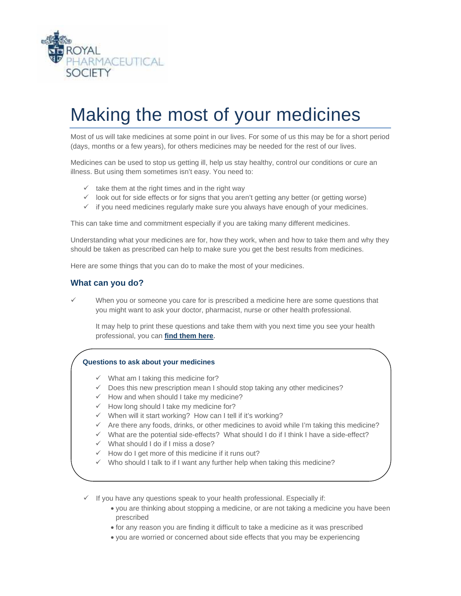

# Making the most of your medicines

Most of us will take medicines at some point in our lives. For some of us this may be for a short period (days, months or a few years), for others medicines may be needed for the rest of our lives.

Medicines can be used to stop us getting ill, help us stay healthy, control our conditions or cure an illness. But using them sometimes isn't easy. You need to:

- $\checkmark$  take them at the right times and in the right way
- $\checkmark$  look out for side effects or for signs that you aren't getting any better (or getting worse)
- $\checkmark$  if you need medicines regularly make sure you always have enough of your medicines.

This can take time and commitment especially if you are taking many different medicines.

Understanding what your medicines are for, how they work, when and how to take them and why they should be taken as prescribed can help to make sure you get the best results from medicines.

Here are some things that you can do to make the most of your medicines.

#### **What can you do?**

When you or someone you care for is prescribed a medicine here are some questions that you might want to ask your doctor, pharmacist, nurse or other health professional.

It may help to print these questions and take them with you next time you see your health professional, you can **[find them here](http://www.rpharms.com/promoting-pharmacy-pdfs/questions-to-ask-about-your-medicines.pdf)**.

#### **Questions to ask about your medicines**

- $\checkmark$  What am I taking this medicine for?
- $\checkmark$  Does this new prescription mean I should stop taking any other medicines?
- $\checkmark$  How and when should I take my medicine?
- $\checkmark$  How long should I take my medicine for?
- $\checkmark$  When will it start working? How can I tell if it's working?
- $\checkmark$  Are there any foods, drinks, or other medicines to avoid while I'm taking this medicine?
- $\checkmark$  What are the potential side-effects? What should I do if I think I have a side-effect?
- $\checkmark$  What should I do if I miss a dose?
- $\checkmark$  How do I get more of this medicine if it runs out?
- $\checkmark$  Who should I talk to if I want any further help when taking this medicine?
- $\checkmark$  If you have any questions speak to your health professional. Especially if:
	- you are thinking about stopping a medicine, or are not taking a medicine you have been prescribed
	- for any reason you are finding it difficult to take a medicine as it was prescribed
	- you are worried or concerned about side effects that you may be experiencing